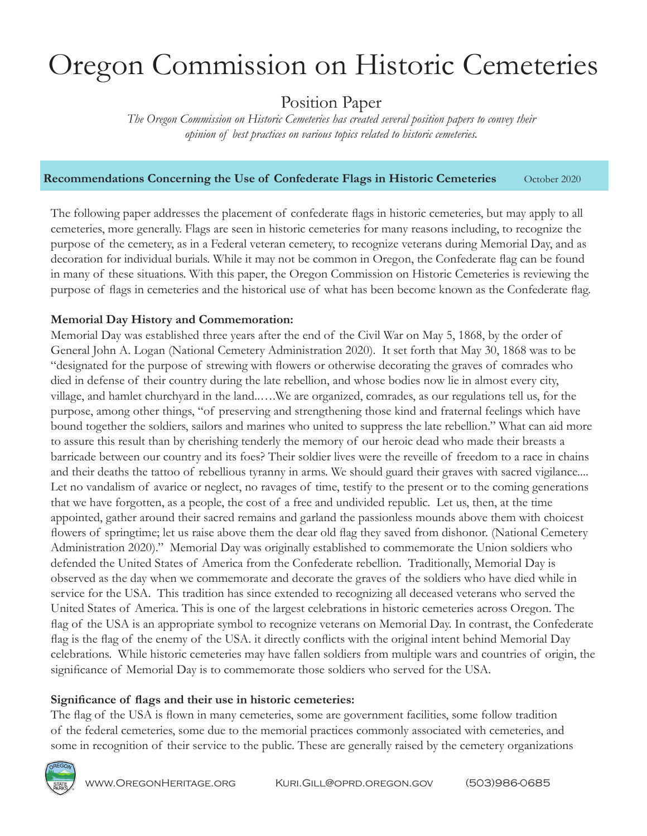# Oregon Commission on Historic Cemeteries

Position Paper

*The Oregon Commission on Historic Cemeteries has created several position papers to convey their opinion of best practices on various topics related to historic cemeteries.*

## **Recommendations Concerning the Use of Confederate Flags in Historic Cemeteries** October 2020

The following paper addresses the placement of confederate flags in historic cemeteries, but may apply to all cemeteries, more generally. Flags are seen in historic cemeteries for many reasons including, to recognize the purpose of the cemetery, as in a Federal veteran cemetery, to recognize veterans during Memorial Day, and as decoration for individual burials. While it may not be common in Oregon, the Confederate flag can be found in many of these situations. With this paper, the Oregon Commission on Historic Cemeteries is reviewing the purpose of flags in cemeteries and the historical use of what has been become known as the Confederate flag.

# **Memorial Day History and Commemoration:**

Memorial Day was established three years after the end of the Civil War on May 5, 1868, by the order of General John A. Logan (National Cemetery Administration 2020). It set forth that May 30, 1868 was to be "designated for the purpose of strewing with flowers or otherwise decorating the graves of comrades who died in defense of their country during the late rebellion, and whose bodies now lie in almost every city, village, and hamlet churchyard in the land..….We are organized, comrades, as our regulations tell us, for the purpose, among other things, "of preserving and strengthening those kind and fraternal feelings which have bound together the soldiers, sailors and marines who united to suppress the late rebellion." What can aid more to assure this result than by cherishing tenderly the memory of our heroic dead who made their breasts a barricade between our country and its foes? Their soldier lives were the reveille of freedom to a race in chains and their deaths the tattoo of rebellious tyranny in arms. We should guard their graves with sacred vigilance.... Let no vandalism of avarice or neglect, no ravages of time, testify to the present or to the coming generations that we have forgotten, as a people, the cost of a free and undivided republic. Let us, then, at the time appointed, gather around their sacred remains and garland the passionless mounds above them with choicest flowers of springtime; let us raise above them the dear old flag they saved from dishonor. (National Cemetery Administration 2020)." Memorial Day was originally established to commemorate the Union soldiers who defended the United States of America from the Confederate rebellion. Traditionally, Memorial Day is observed as the day when we commemorate and decorate the graves of the soldiers who have died while in service for the USA. This tradition has since extended to recognizing all deceased veterans who served the United States of America. This is one of the largest celebrations in historic cemeteries across Oregon. The flag of the USA is an appropriate symbol to recognize veterans on Memorial Day. In contrast, the Confederate flag is the flag of the enemy of the USA. it directly conflicts with the original intent behind Memorial Day celebrations. While historic cemeteries may have fallen soldiers from multiple wars and countries of origin, the significance of Memorial Day is to commemorate those soldiers who served for the USA.

## **Significance of flags and their use in historic cemeteries:**

The flag of the USA is flown in many cemeteries, some are government facilities, some follow tradition of the federal cemeteries, some due to the memorial practices commonly associated with cemeteries, and some in recognition of their service to the public. These are generally raised by the cemetery organizations

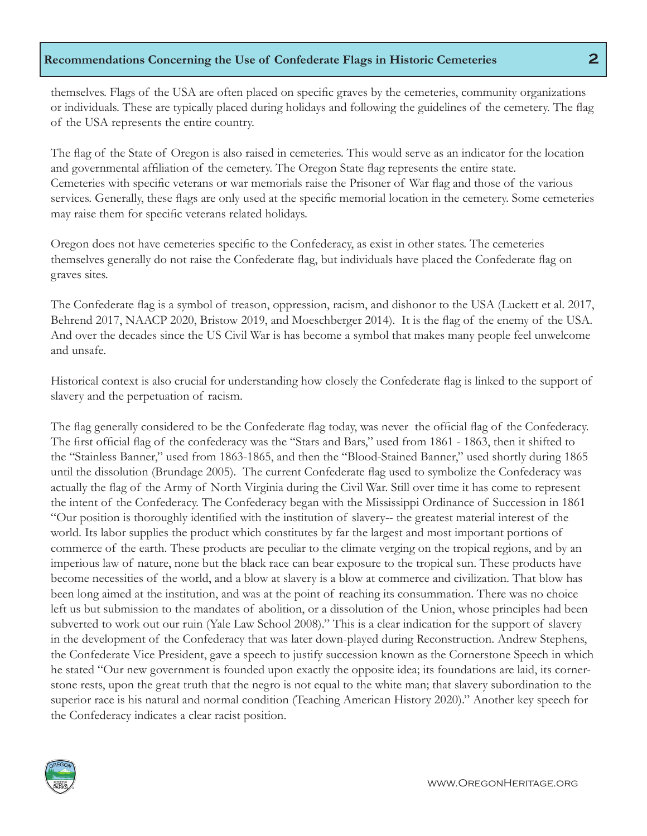# **Recommendations Concerning the Use of Confederate Flags in Historic Cemeteries 2**

themselves. Flags of the USA are often placed on specific graves by the cemeteries, community organizations or individuals. These are typically placed during holidays and following the guidelines of the cemetery. The flag of the USA represents the entire country.

The flag of the State of Oregon is also raised in cemeteries. This would serve as an indicator for the location and governmental affiliation of the cemetery. The Oregon State flag represents the entire state. Cemeteries with specific veterans or war memorials raise the Prisoner of War flag and those of the various services. Generally, these flags are only used at the specific memorial location in the cemetery. Some cemeteries may raise them for specific veterans related holidays.

Oregon does not have cemeteries specific to the Confederacy, as exist in other states. The cemeteries themselves generally do not raise the Confederate flag, but individuals have placed the Confederate flag on graves sites.

The Confederate flag is a symbol of treason, oppression, racism, and dishonor to the USA (Luckett et al. 2017, Behrend 2017, NAACP 2020, Bristow 2019, and Moeschberger 2014). It is the flag of the enemy of the USA. And over the decades since the US Civil War is has become a symbol that makes many people feel unwelcome and unsafe.

Historical context is also crucial for understanding how closely the Confederate flag is linked to the support of slavery and the perpetuation of racism.

The flag generally considered to be the Confederate flag today, was never the official flag of the Confederacy. The first official flag of the confederacy was the "Stars and Bars," used from 1861 - 1863, then it shifted to the "Stainless Banner," used from 1863-1865, and then the "Blood-Stained Banner," used shortly during 1865 until the dissolution (Brundage 2005). The current Confederate flag used to symbolize the Confederacy was actually the flag of the Army of North Virginia during the Civil War. Still over time it has come to represent the intent of the Confederacy. The Confederacy began with the Mississippi Ordinance of Succession in 1861 "Our position is thoroughly identified with the institution of slavery-- the greatest material interest of the world. Its labor supplies the product which constitutes by far the largest and most important portions of commerce of the earth. These products are peculiar to the climate verging on the tropical regions, and by an imperious law of nature, none but the black race can bear exposure to the tropical sun. These products have become necessities of the world, and a blow at slavery is a blow at commerce and civilization. That blow has been long aimed at the institution, and was at the point of reaching its consummation. There was no choice left us but submission to the mandates of abolition, or a dissolution of the Union, whose principles had been subverted to work out our ruin (Yale Law School 2008)." This is a clear indication for the support of slavery in the development of the Confederacy that was later down-played during Reconstruction. Andrew Stephens, the Confederate Vice President, gave a speech to justify succession known as the Cornerstone Speech in which he stated "Our new government is founded upon exactly the opposite idea; its foundations are laid, its cornerstone rests, upon the great truth that the negro is not equal to the white man; that slavery subordination to the superior race is his natural and normal condition (Teaching American History 2020)." Another key speech for the Confederacy indicates a clear racist position.

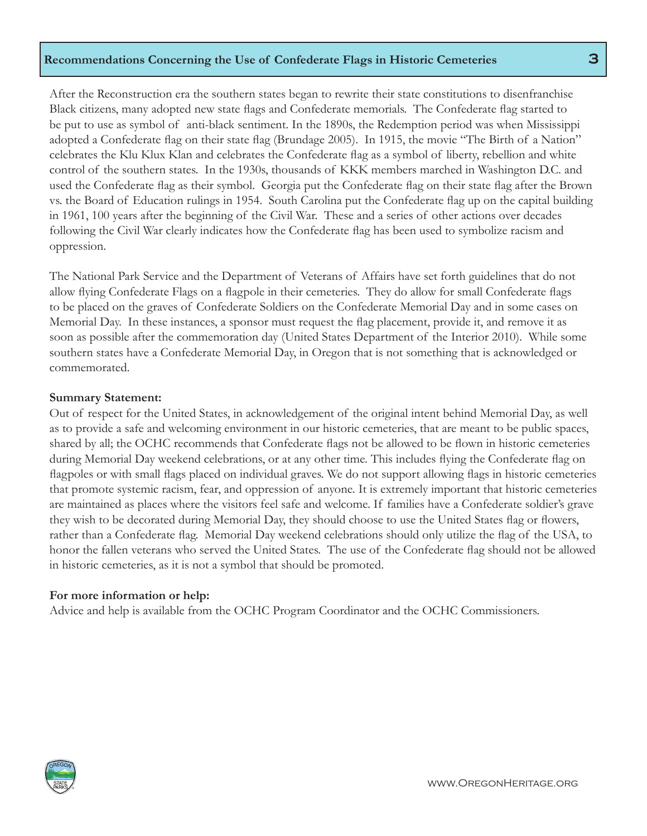# **Recommendations Concerning the Use of Confederate Flags in Historic Cemeteries 3**

After the Reconstruction era the southern states began to rewrite their state constitutions to disenfranchise Black citizens, many adopted new state flags and Confederate memorials. The Confederate flag started to be put to use as symbol of anti-black sentiment. In the 1890s, the Redemption period was when Mississippi adopted a Confederate flag on their state flag (Brundage 2005). In 1915, the movie "The Birth of a Nation" celebrates the Klu Klux Klan and celebrates the Confederate flag as a symbol of liberty, rebellion and white control of the southern states. In the 1930s, thousands of KKK members marched in Washington D.C. and used the Confederate flag as their symbol. Georgia put the Confederate flag on their state flag after the Brown vs. the Board of Education rulings in 1954. South Carolina put the Confederate flag up on the capital building in 1961, 100 years after the beginning of the Civil War. These and a series of other actions over decades following the Civil War clearly indicates how the Confederate flag has been used to symbolize racism and oppression.

The National Park Service and the Department of Veterans of Affairs have set forth guidelines that do not allow flying Confederate Flags on a flagpole in their cemeteries. They do allow for small Confederate flags to be placed on the graves of Confederate Soldiers on the Confederate Memorial Day and in some cases on Memorial Day. In these instances, a sponsor must request the flag placement, provide it, and remove it as soon as possible after the commemoration day (United States Department of the Interior 2010). While some southern states have a Confederate Memorial Day, in Oregon that is not something that is acknowledged or commemorated.

#### **Summary Statement:**

Out of respect for the United States, in acknowledgement of the original intent behind Memorial Day, as well as to provide a safe and welcoming environment in our historic cemeteries, that are meant to be public spaces, shared by all; the OCHC recommends that Confederate flags not be allowed to be flown in historic cemeteries during Memorial Day weekend celebrations, or at any other time. This includes flying the Confederate flag on flagpoles or with small flags placed on individual graves. We do not support allowing flags in historic cemeteries that promote systemic racism, fear, and oppression of anyone. It is extremely important that historic cemeteries are maintained as places where the visitors feel safe and welcome. If families have a Confederate soldier's grave they wish to be decorated during Memorial Day, they should choose to use the United States flag or flowers, rather than a Confederate flag. Memorial Day weekend celebrations should only utilize the flag of the USA, to honor the fallen veterans who served the United States. The use of the Confederate flag should not be allowed in historic cemeteries, as it is not a symbol that should be promoted.

#### **For more information or help:**

Advice and help is available from the OCHC Program Coordinator and the OCHC Commissioners.